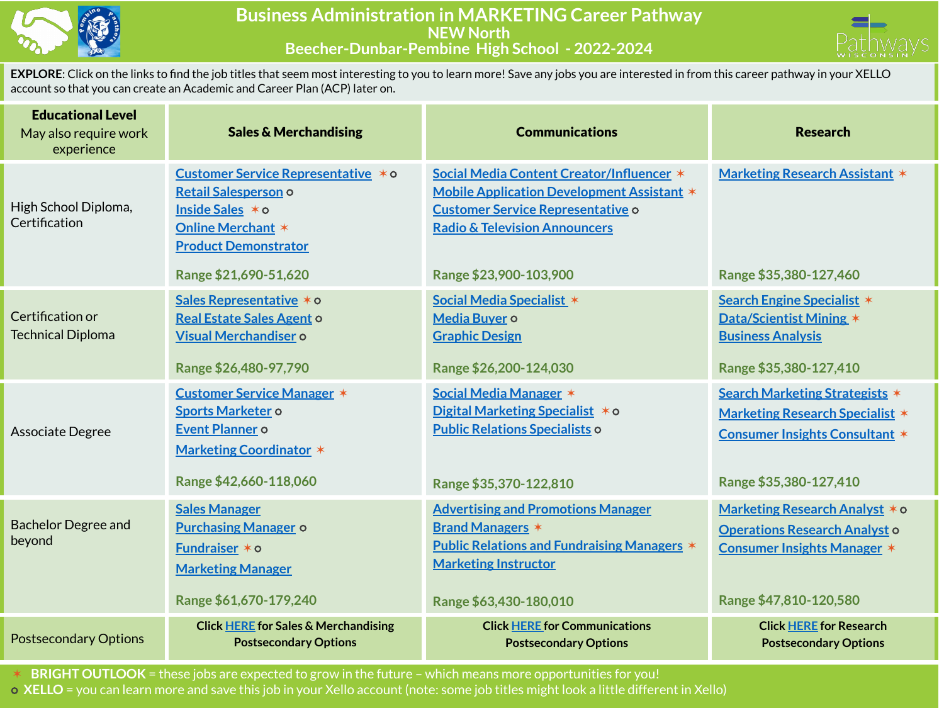

## **Business Administration in MARKETING Career Pathway NEW North Beecher-Dunbar-Pembine High School - 2022-2024**



**EXPLORE**: Click on the links to find the job titles that seem most interesting to you to learn more! Save any jobs you are interested in from this career pathway in your XELLO account so that you can create an Academic and Career Plan (ACP) later on.

| <b>Educational Level</b><br>May also require work<br>experience | <b>Sales &amp; Merchandising</b>                                                                                                                                    | <b>Communications</b>                                                                                                                                                                                     | <b>Research</b>                                                                                                                             |
|-----------------------------------------------------------------|---------------------------------------------------------------------------------------------------------------------------------------------------------------------|-----------------------------------------------------------------------------------------------------------------------------------------------------------------------------------------------------------|---------------------------------------------------------------------------------------------------------------------------------------------|
| High School Diploma,<br>Certification                           | Customer Service Representative * 0<br>Retail Salesperson o<br>Inside Sales * o<br><b>Online Merchant *</b><br><b>Product Demonstrator</b><br>Range \$21,690-51,620 | Social Media Content Creator/Influencer *<br>Mobile Application Development Assistant *<br><b>Customer Service Representative o</b><br><b>Radio &amp; Television Announcers</b><br>Range \$23,900-103,900 | <b>Marketing Research Assistant *</b><br>Range \$35,380-127,460                                                                             |
| Certification or<br><b>Technical Diploma</b>                    | Sales Representative * o<br>Real Estate Sales Agent o<br><b>Visual Merchandiser o</b><br>Range \$26,480-97,790                                                      | Social Media Specialist *<br>Media Buyer o<br><b>Graphic Design</b><br>Range \$26,200-124,030                                                                                                             | Search Engine Specialist *<br>Data/Scientist Mining *<br><b>Business Analysis</b><br>Range \$35,380-127,410                                 |
| Associate Degree                                                | <b>Customer Service Manager *</b><br>Sports Marketer o<br>Event Planner o<br><b>Marketing Coordinator *</b><br>Range \$42,660-118,060                               | Social Media Manager *<br>Digital Marketing Specialist * 0<br><b>Public Relations Specialists o</b><br>Range \$35,370-122,810                                                                             | Search Marketing Strategists *<br><b>Marketing Research Specialist *</b><br><b>Consumer Insights Consultant *</b><br>Range \$35,380-127,410 |
| <b>Bachelor Degree and</b><br>beyond                            | <b>Sales Manager</b><br><b>Purchasing Manager o</b><br>Fundraiser $*$ $\circ$<br><b>Marketing Manager</b><br>Range \$61,670-179,240                                 | <b>Advertising and Promotions Manager</b><br><b>Brand Managers *</b><br><b>Public Relations and Fundraising Managers *</b><br><b>Marketing Instructor</b><br>Range \$63,430-180,010                       | Marketing Research Analyst * o<br><b>Operations Research Analyst o</b><br><b>Consumer Insights Manager *</b><br>Range \$47,810-120,580      |
| <b>Postsecondary Options</b>                                    | <b>Click HERE for Sales &amp; Merchandising</b><br><b>Postsecondary Options</b>                                                                                     | <b>Click HERE for Communications</b><br><b>Postsecondary Options</b>                                                                                                                                      | <b>Click HERE for Research</b><br><b>Postsecondary Options</b>                                                                              |

✶ **BRIGHT OUTLOOK** = these jobs are expected to grow in the future – which means more opportunities for you! ⭘ **XELLO** = you can learn more and save this job in your Xello account (note: some job titles might look a little different in Xello)